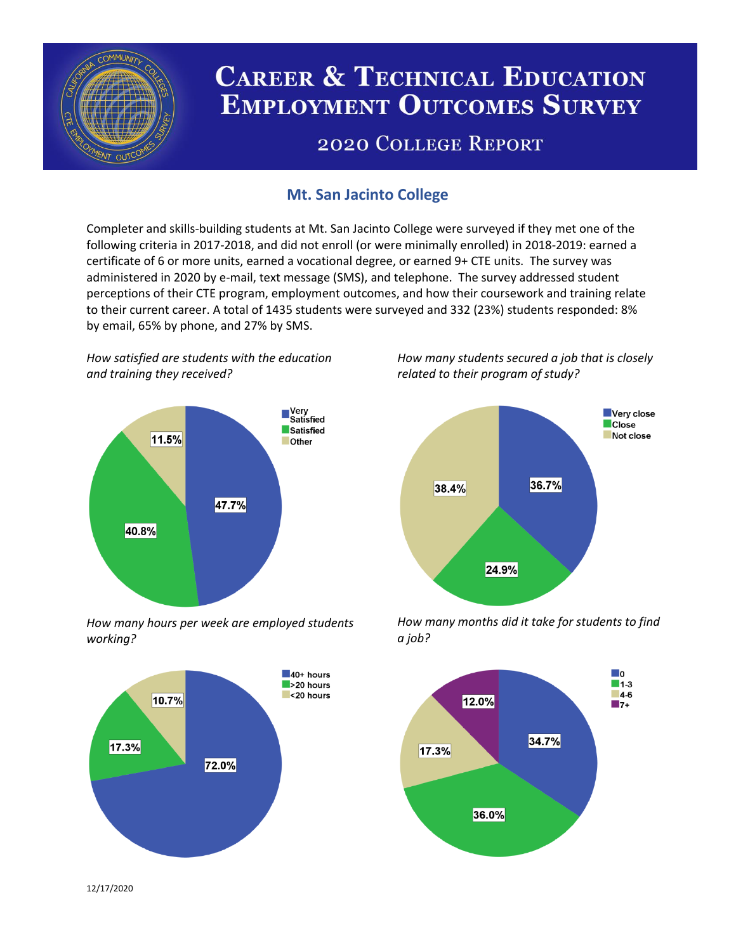

# **CAREER & TECHNICAL EDUCATION EMPLOYMENT OUTCOMES SURVEY**

## **2020 COLLEGE REPORT**

## **Mt. San Jacinto College**

Completer and skills-building students at Mt. San Jacinto College were surveyed if they met one of the following criteria in 2017-2018, and did not enroll (or were minimally enrolled) in 2018-2019: earned a certificate of 6 or more units, earned a vocational degree, or earned 9+ CTE units. The survey was administered in 2020 by e-mail, text message (SMS), and telephone. The survey addressed student perceptions of their CTE program, employment outcomes, and how their coursework and training relate to their current career. A total of 1435 students were surveyed and 332 (23%) students responded: 8% by email, 65% by phone, and 27% by SMS.

*How satisfied are students with the education and training they received?*



*How many hours per week are employed students working?*



*How many students secured a job that is closely related to their program of study?*



*How many months did it take for students to find a job?*



12/17/2020